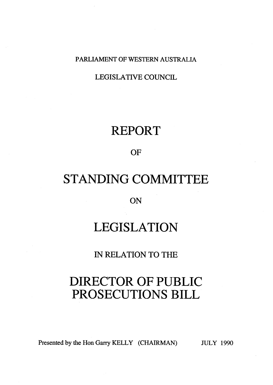PARLIAMENT OF WESTERN AUSTRALIA

LEGISLATIVE COUNCIL

## REPORT

OF

# STANDING COMMITTEE

ON

# LEGISLATION

IN RELATION TO THE

# DIRECTOR OF PUBLIC PROSECUTIONS BILL

Presented by the Hon Garry KELLY (CHAIRMAN) JULY 1990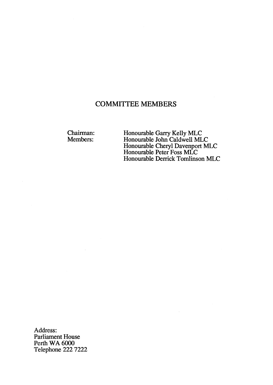### **COMMITTEE MEMBERS**

Chairman:

Chairman: Fionourable Garry Kelly MLC<br>Members: Honourable John Caldwell MLC Honourable Cheryl Davenport MLC<br>Honourable Peter Foss MLC Honourable Derrick Tomlirison MLC

Address: Parliament House Perth WA 6000 Telephone 222 7222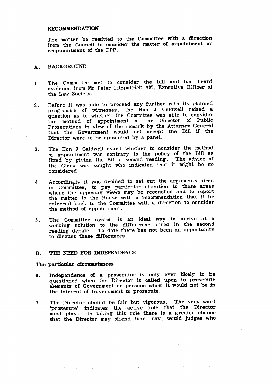#### RECOMMENDATION

The matter be remitted to the Committee with a direction from the Council to consider the matter of appointment or reappointment of the DPP.

### A. BACKGROUND

- I. The Committee met to consider the bill and has heard evidence from Mr Peter Fitzpatrick AM, Executive Officer of the Law Society.
- Before it was able to proceed any further with its planned<br>programme of witnesses, the Hon J Caldwell raised a question as to whether the Committee was able to consider the method of appointment of the Director of Public Prosecutions in view of the remark by the Attorney General that the Government would not accept the Bill If the Director were to' be appointed by a panel. 2.
- The Hon J Caldwell asked whether to consider the method of appointment was contrary to the policy of the Bill as fixed by giving the Bill a second reading. The advice of the Clerk was sought who indicated that it might be so considered. 3.
- Accordingly it was decided to set out the arguments aired in Committee, to pay particular attention to those areas where the opposing views may be reconciled and to report the matter to the House with a recommendation that it be referred back to the Committee with a direction to consider the method of appointment. 4.
- The Committee system is an ideal way to arrive at a working solution to the differences aired in the second reading debate. To date there has not been an opportunity to discuss these differences. 5.

#### B. THE NEED FOR INDEPENDENCE

#### The particular circumstances

 $\mathcal{O}(\mathcal{O}_{\mathbb{Z}_2})$  , where  $\mathcal{O}(\mathcal{O}_{\mathbb{Z}_2})$ 

an agus d'an

 $\mathcal{L}(\mathcal{A})$  and  $\mathcal{A}(\mathcal{A})$ 

- Independence of a prosecutor is only ever likely to be elements of Government or persons whom it would not be in the interest of Government to prosecute. 6.
- 7. The Director should be fair but vigorous. The very word 'prosecute' indicates the active role that the Director<br>must play. In taking this role there is a greater chance that the Director may offend than, say, would judges who

 $\mathcal{A}^{\mathcal{A}}$  and  $\mathcal{A}^{\mathcal{A}}$  are the set of the set of  $\mathcal{A}^{\mathcal{A}}$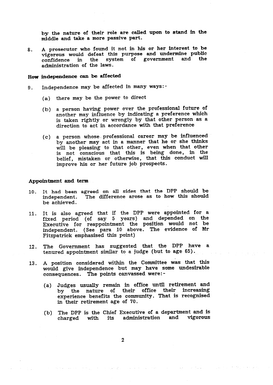middle and take a more passive part. by the nature of their role are called upon to stand in the

A prosecutor who found it not in his or her interest to be vigorous would defeat this purpose and undermine public confidence in the system of government and the administration of the laws. 8.

### How independence can be affected

- 9. Independence may be affected in many ways:-
	- (a) there may be the power to direct
	- (b) a person having power over the professional future of another may influence by indicating a preference which is taken rightly or wrongly by that other person as a direction to act in accordance with that preference
	- by another may act in a manner that he or she thinks will be pleasing to that other, even when that other is not conscious that this is being done, in the belief, mistaken or otherwise, that this conduct will improve his or her future job prospects. (c) a person whose professional career may be influenced

#### Appointment and term

- 10. It had been agreed on all sides that the DPP should be independent. The difference arose as to how this should be achieved.
- It is also agreed that if the DPP were appointed for a fixed period (of say 5 years) and depended on the Executive for reappointment the position would not be independent. (See para 10 above. The evidence of Mr Fitzpatrick emphasised this point)  $11.$
- 12. The Government has suggested that the DPP have a tenured appointment similar to a judge (but to age  $65$ ).
- 13. A position considered within the Committee was that this would give independence but may have some undesirable consequences. The points canvassed were:-
	- (a) Judges usually remain in office until retirement and by the nature of their office their increasing experience benefits the community. That is recognised in their retirement age of 70.
	- (b) The DPP is the Chief Executive of a department and is charged with its administration and vigorous

 $\mathcal{L}^{\mathcal{L}}$  and  $\mathcal{L}^{\mathcal{L}}$  are  $\mathcal{L}^{\mathcal{L}}$  . The contribution of

 $\sim 10^{11}$  and  $\sim 10^{11}$  and  $\sim$ 

state of the state of the state of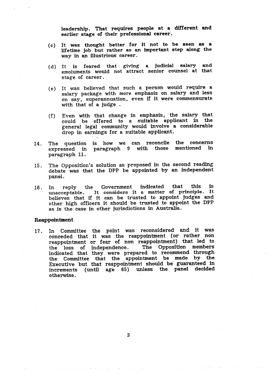leadership. That requires people at a different and earlier stage of their professional career.

- It was thought better for It not to be seen as a lifetime job but rather as an important step along the way in an illustrious career. . (0)
- (d) It is feared that giving a judicial salary and emoluments would not attract senior counsel at tint stage of career.
- (e) It was believed that such a person would require a salary package with more emphasis on salary and less on say, superannuation, even if it were commensurate with that of a judge.
- (f) Even with that change in emphasis, the salary that could be offered to a suitable applicant in the general legal community would involve a considerable drop in earnings for a suitable applicant.
- 14. The question is how we can reconcile the concerns expressed in paragraph 9 with those mentioned in paragraph 9 with those paragraph 11.
- 1.5. The Opposition's solution as proposed in the second reading debate was that the DPP be appointed by an independent panel.
- 16. In reply the Government indicated that this is<br>unacceptable. It considers it a matter of principle. It believes that if it can be trusted to appoint judges and other high officers it should be trusted to appoint the DPP as is the case in other jurisdictions in Australia.

### **Reappointment**

1.7 . In Committee the point was reconsidered and it was coneeded that it was the reappointment (or rather non reappointment or fear of non reappointment) that led to<br>the loss of independence. The Opposition members indicated that they were prepared to recommend through the Committee that the appointment be made by the Executive but that reappointment should be guaranteed in increments (until age 65) unless the panel decided otherwise.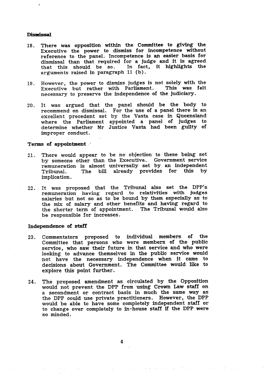#### **Dismissal**

- 18. There was opposition within the Committee to giving the Executive the power to dismiss for incompetence without reference to the panel. Incompetence is an easier basis for dismissal than that required for a judge and it is agreed<br>that this should be so. In fact, it highlights the that this should be so. arguments raised in paragraph 11 (b).
- However, the power to dismiss judges is not solely with the<br>Executive but rather with Parliament. This was felt Executive but rather with Parliament. necessary to preserve the independence of the judiciary. 19.
- It was argued that the panel should be the body to 20 . recommend on dismissal. For the use of a panel there is an excellent precedent set by the Vasta case in Queensland where the Parliament appointed a panel of judges to determine whether Mr Justice Vasta had been guilty of improper conduct.

#### Terms of appointment.

- 21. There would appear to be no objection to these being set by someone other than the Executive. Government service remuneration is almost universally set by an independent<br>Tribunal. The bill already provides for this by The bill already provides for implication.
- It was proposed that the Tribunal also set the DPP's remuneration having regard to relativities with judges salaries but not so as to be bound by them especially as to the mix of salary and other benefits and having regard to the shorter term of appointment. The Tribunal would also be responsible for increases. 22 .

#### independence of staff

- 23. Commentators proposed to individual members of the Committee that persons who were members of the public service, who saw their future in that service and who were looking to advance themselves in the public service would not have the necessary independence when it came to decisions about Government. The Committee would like to explore this point further.
- The proposed amendment as circulated by the Opposition would not prevent the DPP from using Crown Law staff on a secondment or contract basis in much the same way as the DPP could use private practitioners. However, the DPP would be able to have some completely independent staff or to change over completely to in-house staff if the DPP were so minded. 24.

Cardinal

provided a project of the control of the second second and the first control of the state of the second